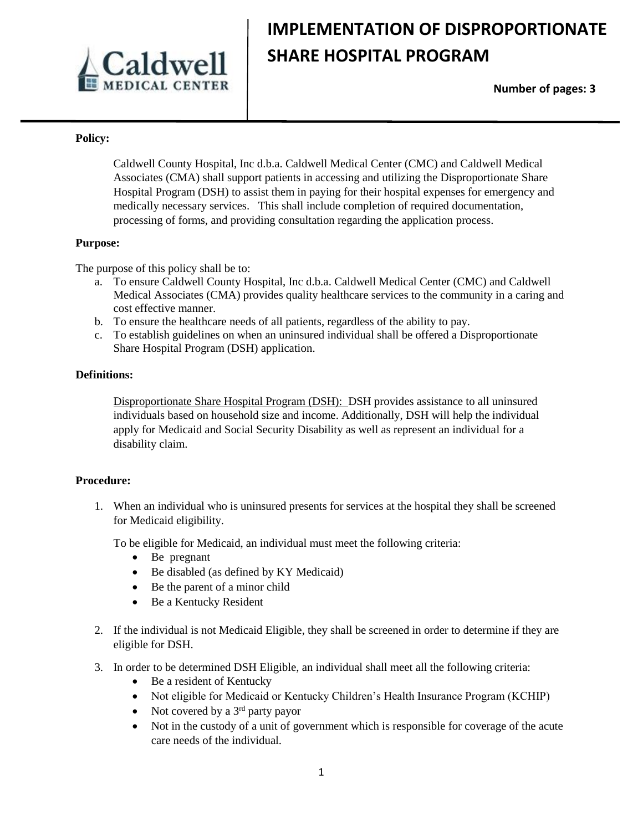

# **IMPLEMENTATION OF DISPROPORTIONATE SHARE HOSPITAL PROGRAM**

 **Number of pages: 3**

### **Policy:**

Caldwell County Hospital, Inc d.b.a. Caldwell Medical Center (CMC) and Caldwell Medical Associates (CMA) shall support patients in accessing and utilizing the Disproportionate Share Hospital Program (DSH) to assist them in paying for their hospital expenses for emergency and medically necessary services. This shall include completion of required documentation, processing of forms, and providing consultation regarding the application process.

#### **Purpose:**

The purpose of this policy shall be to:

- a. To ensure Caldwell County Hospital, Inc d.b.a. Caldwell Medical Center (CMC) and Caldwell Medical Associates (CMA) provides quality healthcare services to the community in a caring and cost effective manner.
- b. To ensure the healthcare needs of all patients, regardless of the ability to pay.
- c. To establish guidelines on when an uninsured individual shall be offered a Disproportionate Share Hospital Program (DSH) application.

### **Definitions:**

Disproportionate Share Hospital Program (DSH): DSH provides assistance to all uninsured individuals based on household size and income. Additionally, DSH will help the individual apply for Medicaid and Social Security Disability as well as represent an individual for a disability claim.

#### **Procedure:**

1. When an individual who is uninsured presents for services at the hospital they shall be screened for Medicaid eligibility.

To be eligible for Medicaid, an individual must meet the following criteria:

- Be pregnant
- Be disabled (as defined by KY Medicaid)
- Be the parent of a minor child
- Be a Kentucky Resident
- 2. If the individual is not Medicaid Eligible, they shall be screened in order to determine if they are eligible for DSH.
- 3. In order to be determined DSH Eligible, an individual shall meet all the following criteria:
	- Be a resident of Kentucky
	- Not eligible for Medicaid or Kentucky Children's Health Insurance Program (KCHIP)
	- Not covered by a  $3<sup>rd</sup>$  party payor
	- Not in the custody of a unit of government which is responsible for coverage of the acute care needs of the individual.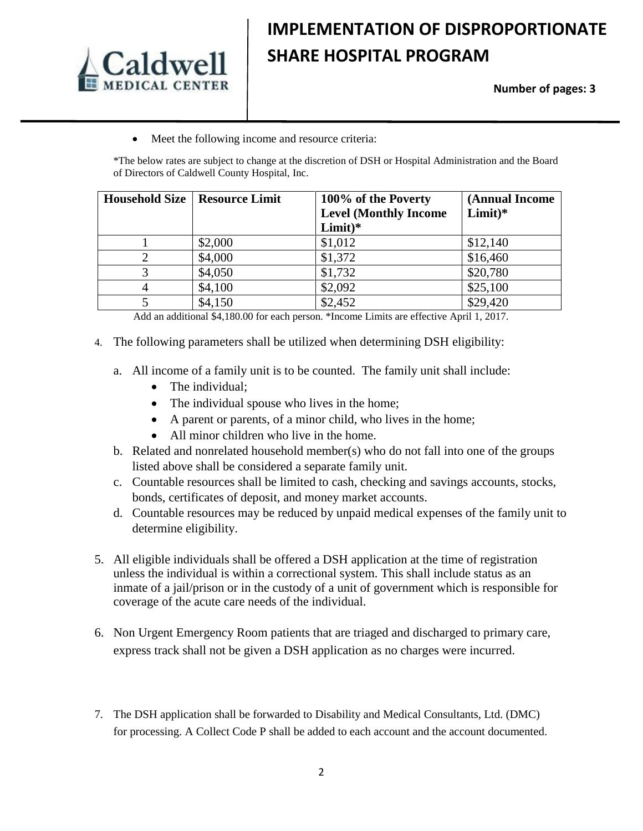

# **IMPLEMENTATION OF DISPROPORTIONATE SHARE HOSPITAL PROGRAM**

## **Number of pages: 3**

• Meet the following income and resource criteria:

\*The below rates are subject to change at the discretion of DSH or Hospital Administration and the Board of Directors of Caldwell County Hospital, Inc.

| <b>Household Size</b> | <b>Resource Limit</b> | 100% of the Poverty          | (Annual Income |
|-----------------------|-----------------------|------------------------------|----------------|
|                       |                       | <b>Level (Monthly Income</b> | $Limit)*$      |
|                       |                       | $Limit)*$                    |                |
|                       | \$2,000               | \$1,012                      | \$12,140       |
|                       | \$4,000               | \$1,372                      | \$16,460       |
|                       | \$4,050               | \$1,732                      | \$20,780       |
|                       | \$4,100               | \$2,092                      | \$25,100       |
|                       | \$4,150               | \$2,452                      | \$29,420       |

Add an additional \$4,180.00 for each person. \*Income Limits are effective April 1, 2017.

- 4. The following parameters shall be utilized when determining DSH eligibility:
	- a. All income of a family unit is to be counted. The family unit shall include:
		- The individual;
		- The individual spouse who lives in the home;
		- A parent or parents, of a minor child, who lives in the home;
		- All minor children who live in the home.
	- b. Related and nonrelated household member(s) who do not fall into one of the groups listed above shall be considered a separate family unit.
	- c. Countable resources shall be limited to cash, checking and savings accounts, stocks, bonds, certificates of deposit, and money market accounts.
	- d. Countable resources may be reduced by unpaid medical expenses of the family unit to determine eligibility.
- 5. All eligible individuals shall be offered a DSH application at the time of registration unless the individual is within a correctional system. This shall include status as an inmate of a jail/prison or in the custody of a unit of government which is responsible for coverage of the acute care needs of the individual.
- 6. Non Urgent Emergency Room patients that are triaged and discharged to primary care, express track shall not be given a DSH application as no charges were incurred.
- 7. The DSH application shall be forwarded to Disability and Medical Consultants, Ltd. (DMC) for processing. A Collect Code P shall be added to each account and the account documented.